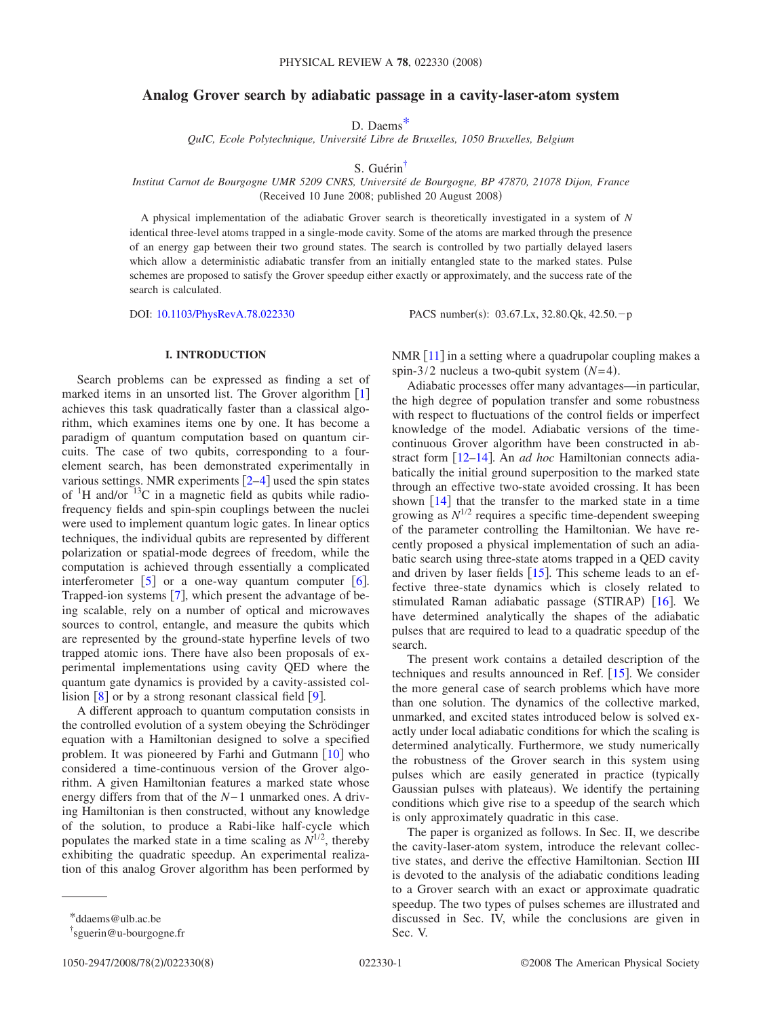# **Analog Grover search by adiabatic passage in a cavity-laser-atom system**

D. Daem[s\\*](#page-0-0)

*QuIC, Ecole Polytechnique, Université Libre de Bruxelles, 1050 Bruxelles, Belgium*

S. Guéri[n†](#page-0-1)

*Institut Carnot de Bourgogne UMR 5209 CNRS, Université de Bourgogne, BP 47870, 21078 Dijon, France* (Received 10 June 2008; published 20 August 2008)

A physical implementation of the adiabatic Grover search is theoretically investigated in a system of *N* identical three-level atoms trapped in a single-mode cavity. Some of the atoms are marked through the presence of an energy gap between their two ground states. The search is controlled by two partially delayed lasers which allow a deterministic adiabatic transfer from an initially entangled state to the marked states. Pulse schemes are proposed to satisfy the Grover speedup either exactly or approximately, and the success rate of the search is calculated.

DOI: [10.1103/PhysRevA.78.022330](http://dx.doi.org/10.1103/PhysRevA.78.022330)

PACS number(s):  $03.67$ .Lx,  $32.80$ .Qk,  $42.50$ .-p

## **I. INTRODUCTION**

Search problems can be expressed as finding a set of marked items in an unsorted list. The Grover algorithm  $\lceil 1 \rceil$  $\lceil 1 \rceil$  $\lceil 1 \rceil$ achieves this task quadratically faster than a classical algorithm, which examines items one by one. It has become a paradigm of quantum computation based on quantum circuits. The case of two qubits, corresponding to a fourelement search, has been demonstrated experimentally in various settings. NMR experiments  $[2-4]$  $[2-4]$  $[2-4]$  used the spin states of  ${}^{1}$ H and/or  ${}^{13}$ C in a magnetic field as qubits while radiofrequency fields and spin-spin couplings between the nuclei were used to implement quantum logic gates. In linear optics techniques, the individual qubits are represented by different polarization or spatial-mode degrees of freedom, while the computation is achieved through essentially a complicated interferometer  $\lceil 5 \rceil$  $\lceil 5 \rceil$  $\lceil 5 \rceil$  or a one-way quantum computer  $\lceil 6 \rceil$  $\lceil 6 \rceil$  $\lceil 6 \rceil$ . Trapped-ion systems  $[7]$  $[7]$  $[7]$ , which present the advantage of being scalable, rely on a number of optical and microwaves sources to control, entangle, and measure the qubits which are represented by the ground-state hyperfine levels of two trapped atomic ions. There have also been proposals of experimental implementations using cavity QED where the quantum gate dynamics is provided by a cavity-assisted collision  $\lceil 8 \rceil$  $\lceil 8 \rceil$  $\lceil 8 \rceil$  or by a strong resonant classical field  $\lceil 9 \rceil$  $\lceil 9 \rceil$  $\lceil 9 \rceil$ .

A different approach to quantum computation consists in the controlled evolution of a system obeying the Schrödinger equation with a Hamiltonian designed to solve a specified problem. It was pioneered by Farhi and Gutmann  $[10]$  $[10]$  $[10]$  who considered a time-continuous version of the Grover algorithm. A given Hamiltonian features a marked state whose energy differs from that of the *N*−1 unmarked ones. A driving Hamiltonian is then constructed, without any knowledge of the solution, to produce a Rabi-like half-cycle which populates the marked state in a time scaling as  $N^{1/2}$ , thereby exhibiting the quadratic speedup. An experimental realization of this analog Grover algorithm has been performed by

<span id="page-0-1"></span>1050-2947/2008/78(2)/022330(8)

NMR  $[11]$  $[11]$  $[11]$  in a setting where a quadrupolar coupling makes a spin-3/2 nucleus a two-qubit system  $(N=4)$ .

Adiabatic processes offer many advantages—in particular, the high degree of population transfer and some robustness with respect to fluctuations of the control fields or imperfect knowledge of the model. Adiabatic versions of the timecontinuous Grover algorithm have been constructed in ab-stract form [12-[14](#page-7-11)]. An *ad hoc* Hamiltonian connects adiabatically the initial ground superposition to the marked state through an effective two-state avoided crossing. It has been shown  $\lceil 14 \rceil$  $\lceil 14 \rceil$  $\lceil 14 \rceil$  that the transfer to the marked state in a time growing as  $N^{1/2}$  requires a specific time-dependent sweeping of the parameter controlling the Hamiltonian. We have recently proposed a physical implementation of such an adiabatic search using three-state atoms trapped in a QED cavity and driven by laser fields  $[15]$  $[15]$  $[15]$ . This scheme leads to an effective three-state dynamics which is closely related to stimulated Raman adiabatic passage (STIRAP) [[16](#page-7-13)]. We have determined analytically the shapes of the adiabatic pulses that are required to lead to a quadratic speedup of the search.

The present work contains a detailed description of the techniques and results announced in Ref.  $[15]$  $[15]$  $[15]$ . We consider the more general case of search problems which have more than one solution. The dynamics of the collective marked, unmarked, and excited states introduced below is solved exactly under local adiabatic conditions for which the scaling is determined analytically. Furthermore, we study numerically the robustness of the Grover search in this system using pulses which are easily generated in practice (typically Gaussian pulses with plateaus). We identify the pertaining conditions which give rise to a speedup of the search which is only approximately quadratic in this case.

The paper is organized as follows. In Sec. II, we describe the cavity-laser-atom system, introduce the relevant collective states, and derive the effective Hamiltonian. Section III is devoted to the analysis of the adiabatic conditions leading to a Grover search with an exact or approximate quadratic speedup. The two types of pulses schemes are illustrated and discussed in Sec. IV, while the conclusions are given in Sec. V.

<sup>\*</sup>ddaems@ulb.ac.be

<span id="page-0-0"></span><sup>†</sup> sguerin@u-bourgogne.fr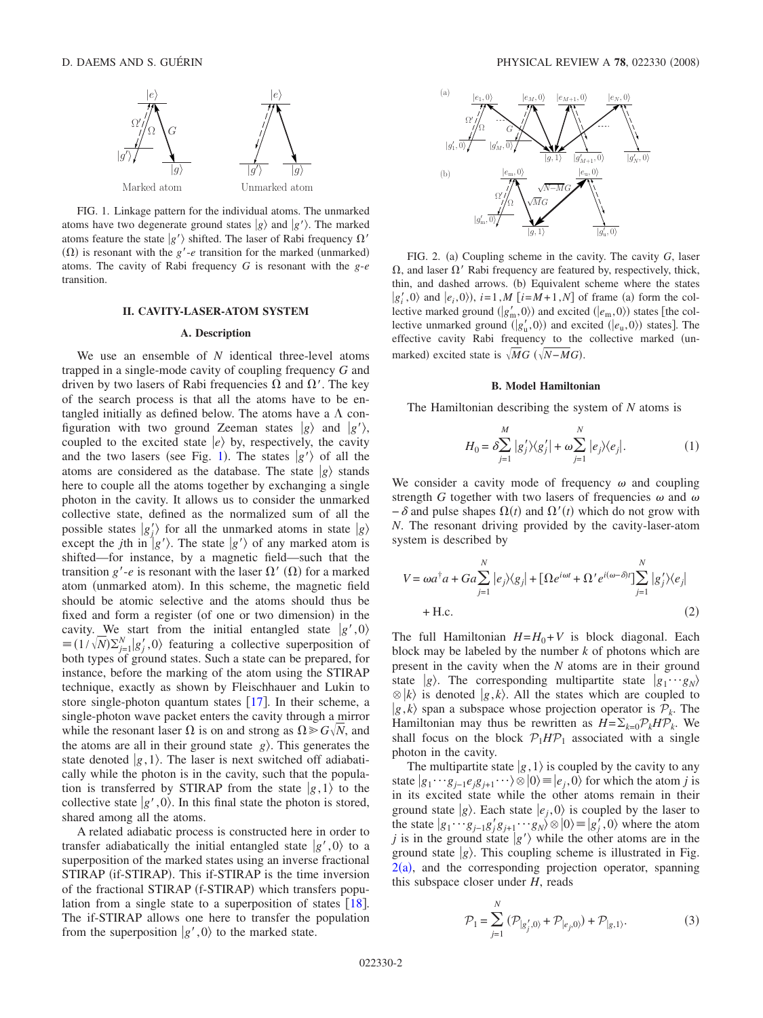<span id="page-1-0"></span>

FIG. 1. Linkage pattern for the individual atoms. The unmarked atoms have two degenerate ground states  $|g\rangle$  and  $|g'\rangle$ . The marked atoms feature the state  $|g'\rangle$  shifted. The laser of Rabi frequency  $\Omega'$  $(\Omega)$  is resonant with the *g*'-*e* transition for the marked (unmarked) atoms. The cavity of Rabi frequency *G* is resonant with the *g*-*e* transition.

#### **II. CAVITY-LASER-ATOM SYSTEM**

### **A. Description**

We use an ensemble of *N* identical three-level atoms trapped in a single-mode cavity of coupling frequency *G* and driven by two lasers of Rabi frequencies  $\Omega$  and  $\Omega'$ . The key of the search process is that all the atoms have to be entangled initially as defined below. The atoms have a  $\Lambda$  configuration with two ground Zeeman states  $|g\rangle$  and  $|g'\rangle$ , coupled to the excited state  $|e\rangle$  by, respectively, the cavity and the two lasers (see Fig. [1](#page-1-0)). The states  $|g'\rangle$  of all the atoms are considered as the database. The state  $|g\rangle$  stands here to couple all the atoms together by exchanging a single photon in the cavity. It allows us to consider the unmarked collective state, defined as the normalized sum of all the possible states  $|g_j\rangle$  for all the unmarked atoms in state  $|g\rangle$ except the *j*th in  $|g'\rangle$ . The state  $|g'\rangle$  of any marked atom is shifted—for instance, by a magnetic field—such that the transition  $g'$ -*e* is resonant with the laser  $\Omega'$  ( $\Omega$ ) for a marked atom (unmarked atom). In this scheme, the magnetic field should be atomic selective and the atoms should thus be fixed and form a register (of one or two dimension) in the cavity. We start from the initial entangled state  $|g',0\rangle$  $\equiv (1/\sqrt{N})\sum_{j=1}^{N} |g'_{j},0\rangle$  featuring a collective superposition of both types of ground states. Such a state can be prepared, for instance, before the marking of the atom using the STIRAP technique, exactly as shown by Fleischhauer and Lukin to store single-photon quantum states  $[17]$  $[17]$  $[17]$ . In their scheme, a single-photon wave packet enters the cavity through a mirror while the resonant laser  $\Omega$  is on and strong as  $\Omega \geq C\sqrt{N}$ , and the atoms are all in their ground state  $g$ ). This generates the state denoted  $|g,1\rangle$ . The laser is next switched off adiabatically while the photon is in the cavity, such that the population is transferred by STIRAP from the state  $|g,1\rangle$  to the collective state  $|g',0\rangle$ . In this final state the photon is stored, shared among all the atoms.

A related adiabatic process is constructed here in order to transfer adiabatically the initial entangled state  $|g',0\rangle$  to a superposition of the marked states using an inverse fractional STIRAP (if-STIRAP). This if-STIRAP is the time inversion of the fractional STIRAP (f-STIRAP) which transfers population from a single state to a superposition of states  $[18]$  $[18]$  $[18]$ . The if-STIRAP allows one here to transfer the population from the superposition  $|g',0\rangle$  to the marked state.

<span id="page-1-1"></span>

FIG. 2. (a) Coupling scheme in the cavity. The cavity *G*, laser  $\Omega$ , and laser  $\Omega'$  Rabi frequency are featured by, respectively, thick, thin, and dashed arrows. (b) Equivalent scheme where the states  $|g'_i, 0\rangle$  and  $|e_i, 0\rangle$ ),  $i=1, M$  [ $i=M+1, N$ ] of frame (a) form the collective marked ground  $(|g'_{m}, 0\rangle)$  and excited  $(|e_{m}, 0\rangle)$  states [the collective unmarked ground  $(|g'_u, 0\rangle)$  and excited  $(|e_u, 0\rangle)$  states]. The effective cavity Rabi frequency to the collective marked (unmarked) excited state is  $\sqrt{MG}$  ( $\sqrt{N-M}G$ ).

### **B. Model Hamiltonian**

The Hamiltonian describing the system of *N* atoms is

$$
H_0 = \delta \sum_{j=1}^{M} |g'_j\rangle\langle g'_j| + \omega \sum_{j=1}^{N} |e_j\rangle\langle e_j|.
$$
 (1)

We consider a cavity mode of frequency  $\omega$  and coupling strength *G* together with two lasers of frequencies  $\omega$  and  $\omega$  $-\delta$  and pulse shapes  $\Omega(t)$  and  $\Omega'(t)$  which do not grow with *N*. The resonant driving provided by the cavity-laser-atom system is described by

<span id="page-1-2"></span>
$$
V = \omega a^{\dagger} a + G a \sum_{j=1}^{N} |e_j\rangle\langle g_j| + [\Omega e^{i\omega t} + \Omega' e^{i(\omega - \delta)t}] \sum_{j=1}^{N} |g'_j\rangle\langle e_j|
$$
  
+ H.c. (2)

The full Hamiltonian  $H=H_0+V$  is block diagonal. Each block may be labeled by the number *k* of photons which are present in the cavity when the *N* atoms are in their ground state *g*). The corresponding multipartite state  $g_1 \cdots g_N$  $\otimes$   $|k\rangle$  is denoted  $|g, k\rangle$ . All the states which are coupled to  $|g, k\rangle$  span a subspace whose projection operator is  $P_k$ . The Hamiltonian may thus be rewritten as  $H = \sum_{k=0} P_k H P_k$ . We shall focus on the block  $P_1 H P_1$  associated with a single photon in the cavity.

The multipartite state  $|g,1\rangle$  is coupled by the cavity to any state  $|g_1 \cdots g_{j-1}e_j g_{j+1} \cdots \rangle \otimes |0\rangle = |e_j, 0\rangle$  for which the atom *j* is in its excited state while the other atoms remain in their ground state  $|g\rangle$ . Each state  $|e_j,0\rangle$  is coupled by the laser to the state  $|g_1 \cdots g_{j-1}g'_j g_{j+1} \cdots g_N\rangle \otimes |0\rangle \equiv |g'_j, 0\rangle$  where the atom *j* is in the ground state  $g'$  while the other atoms are in the ground state  $|g\rangle$ . This coupling scheme is illustrated in Fig.  $2(a)$  $2(a)$ , and the corresponding projection operator, spanning this subspace closer under *H*, reads

$$
\mathcal{P}_1 = \sum_{j=1}^{N} (\mathcal{P}_{|g'_j,0\rangle} + \mathcal{P}_{|e_j,0\rangle}) + \mathcal{P}_{|g,1\rangle}.
$$
 (3)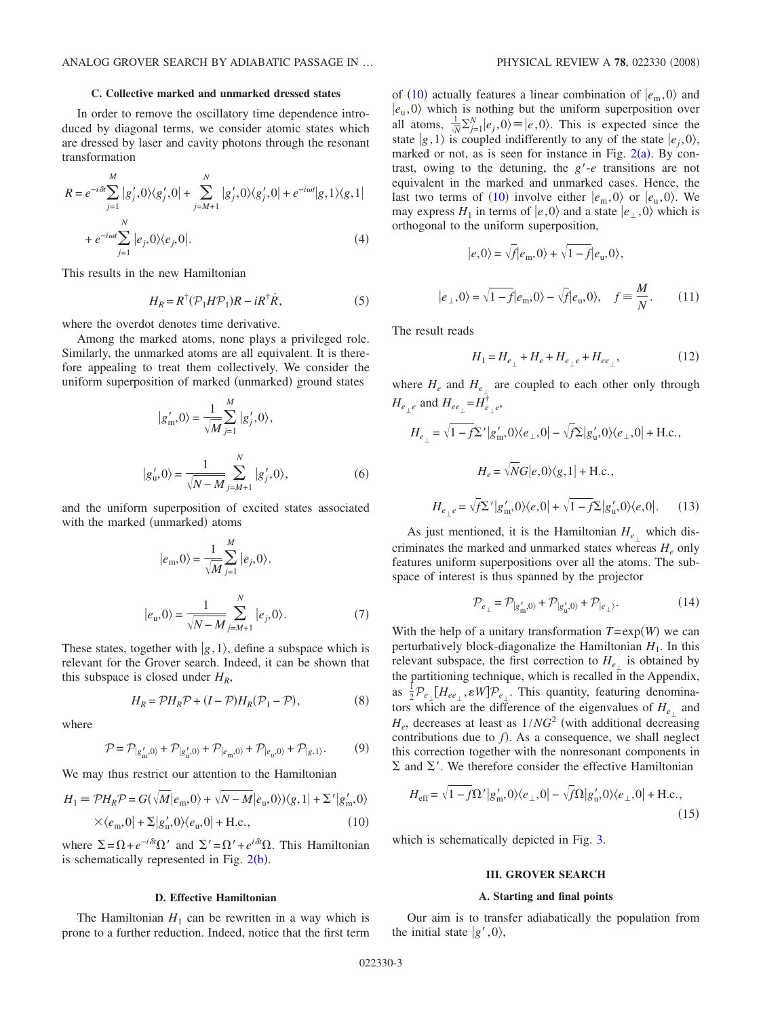### **C. Collective marked and unmarked dressed states**

In order to remove the oscillatory time dependence introduced by diagonal terms, we consider atomic states which are dressed by laser and cavity photons through the resonant transformation

$$
R = e^{-i\delta t} \sum_{j=1}^{M} |g'_j, 0\rangle\langle g'_j, 0| + \sum_{j=M+1}^{N} |g'_j, 0\rangle\langle g'_j, 0| + e^{-i\omega t} |g, 1\rangle\langle g, 1| + e^{-i\omega t} \sum_{j=1}^{N} |e_j, 0\rangle\langle e_j, 0|.
$$
\n(4)

This results in the new Hamiltonian

$$
H_R = R^{\dagger} (\mathcal{P}_1 H \mathcal{P}_1) R - i R^{\dagger} R, \qquad (5)
$$

where the overdot denotes time derivative.

Among the marked atoms, none plays a privileged role. Similarly, the unmarked atoms are all equivalent. It is therefore appealing to treat them collectively. We consider the uniform superposition of marked (unmarked) ground states

$$
|g'_{m},0\rangle = \frac{1}{\sqrt{M}} \sum_{j=1}^{M} |g'_{j},0\rangle,
$$
  

$$
|g'_{u},0\rangle = \frac{1}{\sqrt{N-M}} \sum_{j=M+1}^{N} |g'_{j},0\rangle,
$$
 (6)

and the uniform superposition of excited states associated with the marked (unmarked) atoms

$$
|e_{\rm m},0\rangle = \frac{1}{\sqrt{M}} \sum_{j=1}^{M} |e_j,0\rangle.
$$

$$
|e_{\rm u},0\rangle = \frac{1}{\sqrt{N-M}} \sum_{j=M+1}^{N} |e_j,0\rangle.
$$
 (7)

These states, together with  $|g,1\rangle$ , define a subspace which is relevant for the Grover search. Indeed, it can be shown that this subspace is closed under  $H_R$ ,

$$
H_R = \mathcal{P}H_R \mathcal{P} + (I - \mathcal{P})H_R(\mathcal{P}_1 - \mathcal{P}),\tag{8}
$$

where

$$
\mathcal{P} = \mathcal{P}_{|g'_{\mathbf{m}},0\rangle} + \mathcal{P}_{|g'_{\mathbf{u}},0\rangle} + \mathcal{P}_{|e_{\mathbf{m}},0\rangle} + \mathcal{P}_{|e_{\mathbf{u}},0\rangle} + \mathcal{P}_{|g,1\rangle}.
$$
 (9)

We may thus restrict our attention to the Hamiltonian

<span id="page-2-0"></span>
$$
H_1 \equiv \mathcal{P}H_R \mathcal{P} = G(\sqrt{M}|e_m, 0\rangle + \sqrt{N-M}|e_u, 0\rangle)\langle g, 1| + \Sigma'|g'_m, 0\rangle
$$
  
 
$$
\times \langle e_m, 0| + \Sigma|g'_u, 0\rangle\langle e_u, 0| + \text{H.c.},
$$
 (10)

where  $\Sigma = \Omega + e^{-i\delta t} \Omega'$  and  $\Sigma' = \Omega' + e^{i\delta t} \Omega$ . This Hamiltonian is schematically represented in Fig.  $2(b)$  $2(b)$ .

# **D. Effective Hamiltonian**

The Hamiltonian  $H_1$  can be rewritten in a way which is prone to a further reduction. Indeed, notice that the first term

of ([10](#page-2-0)) actually features a linear combination of  $|e_{m},0\rangle$  and  $|e_u, 0\rangle$  which is nothing but the uniform superposition over all atoms,  $\frac{1}{N} \sum_{j=1}^{N} |e_j, 0 \rangle \equiv |e_0, 0 \rangle$ . This is expected since the state  $|g,1\rangle$  is coupled indifferently to any of the state  $|e_i,0\rangle$ , marked or not, as is seen for instance in Fig.  $2(a)$  $2(a)$ . By contrast, owing to the detuning, the  $g'-e$  transitions are not equivalent in the marked and unmarked cases. Hence, the last two terms of ([10](#page-2-0)) involve either  $|e_{m}, 0\rangle$  or  $|e_{u}, 0\rangle$ . We may express  $H_1$  in terms of  $|e, 0\rangle$  and a state  $|e_\perp, 0\rangle$  which is orthogonal to the uniform superposition,

$$
|e,0\rangle = \sqrt{f}|e_{\rm m},0\rangle + \sqrt{1-f}|e_{\rm u},0\rangle,
$$
  

$$
\Delta_{\perp},0\rangle = \sqrt{1-f}|e_{\rm m},0\rangle - \sqrt{f}|e_{\rm u},0\rangle, \quad f \equiv \frac{M}{N}.
$$
 (11)

The result reads

*e*-

$$
H_1 = H_{e_\perp} + H_e + H_{e_\perp e} + H_{ee_\perp},\tag{12}
$$

<span id="page-2-2"></span>where  $H_e$  and  $H_{e_{\perp}}$  are coupled to each other only through  $H_{e_{\perp}e}$  and  $H_{ee_{\perp}} = H_{e_{\perp}e}^{\dagger}$ ,

$$
H_{e_{\perp}} = \sqrt{1 - f} \Sigma' |g'_{\rm m}, 0\rangle\langle e_{\perp}, 0| - \sqrt{f} \Sigma |g'_{\rm u}, 0\rangle\langle e_{\perp}, 0| + \text{H.c.},
$$

$$
H_e = \sqrt{N} G |e, 0\rangle\langle g, 1| + \text{H.c.},
$$

$$
H_{e_{\perp}e} = \sqrt{f} \Sigma' |g'_{\rm m}, 0\rangle\langle e, 0| + \sqrt{1 - f} \Sigma |g'_{\rm u}, 0\rangle\langle e, 0|.
$$
 (13)

As just mentioned, it is the Hamiltonian  $H_{e_{\perp}}$  which discriminates the marked and unmarked states whereas  $H_e$  only features uniform superpositions over all the atoms. The subspace of interest is thus spanned by the projector

$$
\mathcal{P}_{e_{\perp}} = \mathcal{P}_{|g'_{\mathbf{m}},0\rangle} + \mathcal{P}_{|g'_{\mathbf{u}},0\rangle} + \mathcal{P}_{|e_{\perp}\rangle}.
$$
 (14)

With the help of a unitary transformation  $T = \exp(W)$  we can perturbatively block-diagonalize the Hamiltonian  $H_1$ . In this relevant subspace, the first correction to  $H_{e_{\perp}}$  is obtained by the partitioning technique, which is recalled in the Appendix, as  $\frac{1}{2}P_{e_{\perp}}[H_{ee_{\perp}}, \varepsilon W]P_{e_{\perp}}$ . This quantity, featuring denominators which are the difference of the eigenvalues of  $H_{e_{\perp}}$  and  $H_e$ , decreases at least as  $1/NG<sup>2</sup>$  (with additional decreasing contributions due to  $f$ ). As a consequence, we shall neglect this correction together with the nonresonant components in  $\Sigma$  and  $\Sigma'$ . We therefore consider the effective Hamiltonian

<span id="page-2-1"></span>
$$
H_{\rm eff} = \sqrt{1 - f\Omega'} |g'_{\rm m}, 0\rangle\langle e_{\perp}, 0| - \sqrt{f\Omega} |g'_{\rm u}, 0\rangle\langle e_{\perp}, 0| + \text{H.c.},
$$
\n(15)

which is schematically depicted in Fig. [3.](#page-3-0)

# **III. GROVER SEARCH**

# **A. Starting and final points**

Our aim is to transfer adiabatically the population from the initial state  $|g',0\rangle$ ,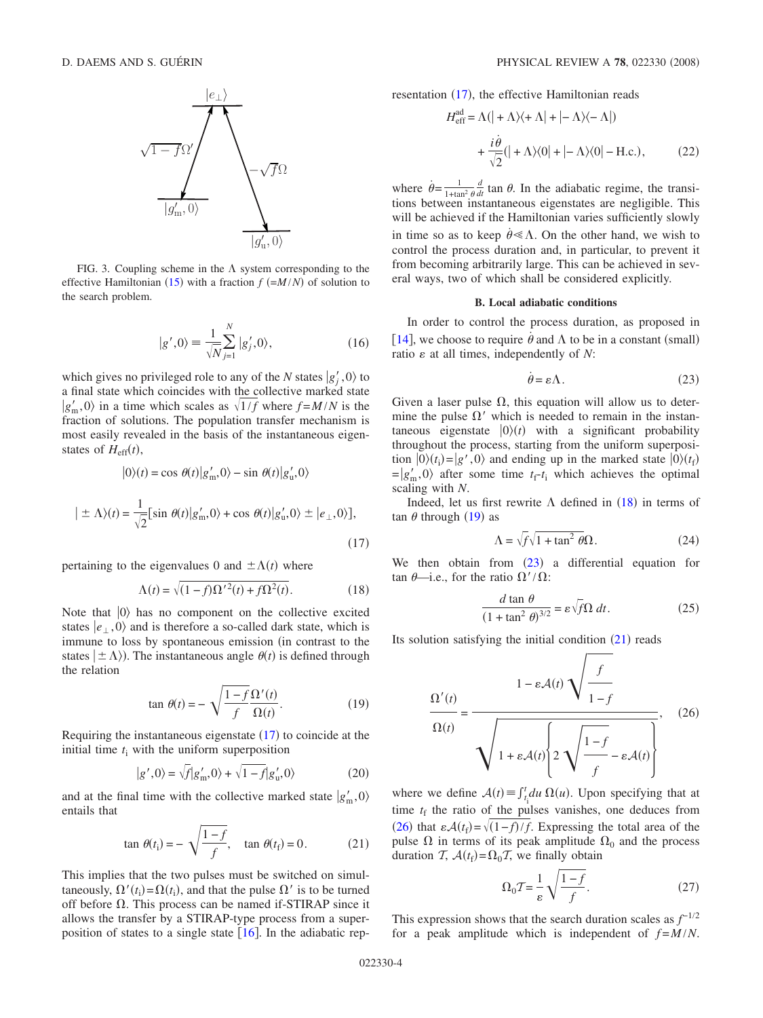<span id="page-3-0"></span>

FIG. 3. Coupling scheme in the  $\Lambda$  system corresponding to the effective Hamiltonian ([15](#page-2-1)) with a fraction  $f (=M/N)$  of solution to the search problem.

$$
|g',0\rangle \equiv \frac{1}{\sqrt{N}} \sum_{j=1}^{N} |g'_j,0\rangle, \qquad (16)
$$

which gives no privileged role to any of the *N* states  $|g'_j, 0\rangle$  to a final state which coincides with the collective marked state  $|g'_m, 0\rangle$  in a time which scales as  $\sqrt{1/f}$  where  $f = M/N$  is the fraction of solutions. The population transfer mechanism is most easily revealed in the basis of the instantaneous eigenstates of  $H_{\text{eff}}(t)$ ,

<span id="page-3-1"></span>
$$
|0\rangle(t) = \cos \theta(t)|g'_{m},0\rangle - \sin \theta(t)|g'_{u},0\rangle
$$

$$
|\pm \Lambda\rangle(t) = \frac{1}{\sqrt{2}}[\sin \theta(t)|g'_{m},0\rangle + \cos \theta(t)|g'_{u},0\rangle \pm |e_{\perp},0\rangle],
$$
(17)

pertaining to the eigenvalues 0 and  $\pm \Lambda(t)$  where

$$
\Lambda(t) = \sqrt{(1-f)\Omega^2(t) + f\Omega^2(t)}.
$$
\n(18)

<span id="page-3-2"></span>Note that  $|0\rangle$  has no component on the collective excited states  $|e_{\perp}, 0 \rangle$  and is therefore a so-called dark state, which is immune to loss by spontaneous emission (in contrast to the states  $|\pm \Lambda\rangle$ ). The instantaneous angle  $\theta(t)$  is defined through the relation

$$
\tan \theta(t) = -\sqrt{\frac{1-f}{f}} \frac{\Omega'(t)}{\Omega(t)}.
$$
\n(19)

<span id="page-3-3"></span>Requiring the instantaneous eigenstate  $(17)$  $(17)$  $(17)$  to coincide at the initial time  $t_i$  with the uniform superposition

$$
|g',0\rangle = \sqrt{f}|g'_m,0\rangle + \sqrt{1-f}|g'_u,0\rangle \tag{20}
$$

and at the final time with the collective marked state  $|g'_m, 0\rangle$ entails that

$$
\tan \theta(t_i) = -\sqrt{\frac{1-f}{f}}, \quad \tan \theta(t_f) = 0. \tag{21}
$$

<span id="page-3-5"></span>This implies that the two pulses must be switched on simultaneously,  $\Omega'(t_i) = \Omega(t_i)$ , and that the pulse  $\Omega'$  is to be turned off before  $\Omega$ . This process can be named if-STIRAP since it allows the transfer by a STIRAP-type process from a superposition of states to a single state  $[16]$  $[16]$  $[16]$ . In the adiabatic rep<span id="page-3-7"></span>resentation ([17](#page-3-1)), the effective Hamiltonian reads

$$
H_{\text{eff}}^{\text{ad}} = \Lambda(| + \Lambda \rangle \langle + \Lambda | + | - \Lambda \rangle \langle - \Lambda |)
$$

$$
+ \frac{i\dot{\theta}}{\sqrt{2}} (| + \Lambda \rangle \langle 0 | + | - \Lambda \rangle \langle 0 | - \text{H.c.}), \tag{22}
$$

where  $\dot{\theta} = \frac{1}{1 + \tan^2 \theta}$  tions between instantaneous eigenstates are negligible. This  $\frac{d}{dt}$  tan  $\theta$ . In the adiabatic regime, the transiwill be achieved if the Hamiltonian varies sufficiently slowly in time so as to keep  $\dot{\theta} \ll \Lambda$ . On the other hand, we wish to control the process duration and, in particular, to prevent it from becoming arbitrarily large. This can be achieved in several ways, two of which shall be considered explicitly.

#### **B. Local adiabatic conditions**

In order to control the process duration, as proposed in [[14](#page-7-11)], we choose to require  $\dot{\theta}$  and  $\Lambda$  to be in a constant (small) ratio  $\varepsilon$  at all times, independently of  $N$ :

$$
\dot{\theta} = \varepsilon \Lambda. \tag{23}
$$

<span id="page-3-4"></span>Given a laser pulse  $\Omega$ , this equation will allow us to determine the pulse  $\Omega'$  which is needed to remain in the instantaneous eigenstate  $|0\rangle(t)$  with a significant probability throughout the process, starting from the uniform superposition  $|0\rangle(t_i) = |g', 0\rangle$  and ending up in the marked state  $|0\rangle(t_f)$  $=|g'_m,0\rangle$  after some time  $t_f-t_i$  which achieves the optimal scaling with *N*.

Indeed, let us first rewrite  $\Lambda$  defined in ([18](#page-3-2)) in terms of  $\tan \theta$  through ([19](#page-3-3)) as

$$
\Lambda = \sqrt{f} \sqrt{1 + \tan^2 \theta} \Omega.
$$
 (24)

We then obtain from  $(23)$  $(23)$  $(23)$  a differential equation for  $\tan \theta$ —i.e., for the ratio  $\Omega'/\Omega$ :

$$
\frac{d \tan \theta}{(1 + \tan^2 \theta)^{3/2}} = \varepsilon \sqrt{f} \Omega \, dt. \tag{25}
$$

<span id="page-3-6"></span>Its solution satisfying the initial condition  $(21)$  $(21)$  $(21)$  reads

$$
\frac{\Omega'(t)}{\Omega(t)} = \frac{1 - \varepsilon \mathcal{A}(t) \sqrt{\frac{f}{1 - f}}}{\sqrt{1 + \varepsilon \mathcal{A}(t) \left\{2 \sqrt{\frac{1 - f}{f}} - \varepsilon \mathcal{A}(t)\right\}}}, \quad (26)
$$

where we define  $A(t) \equiv \int_{t_i}^{t}$  $_{t}^{t}$ *du*  $\Omega(u)$ . Upon specifying that at time  $t_f$  the ratio of the pulses vanishes, one deduces from ([26](#page-3-6)) that  $\varepsilon \mathcal{A}(t_f) = \sqrt{(1-f)/f}$ . Expressing the total area of the pulse  $\Omega$  in terms of its peak amplitude  $\Omega_0$  and the process duration  $T$ ,  $\mathcal{A}(t_f) = \Omega_0 T$ , we finally obtain

$$
\Omega_0 T = \frac{1}{\varepsilon} \sqrt{\frac{1 - f}{f}}.\tag{27}
$$

<span id="page-3-8"></span>This expression shows that the search duration scales as  $f^{-1/2}$ for a peak amplitude which is independent of  $f = M/N$ .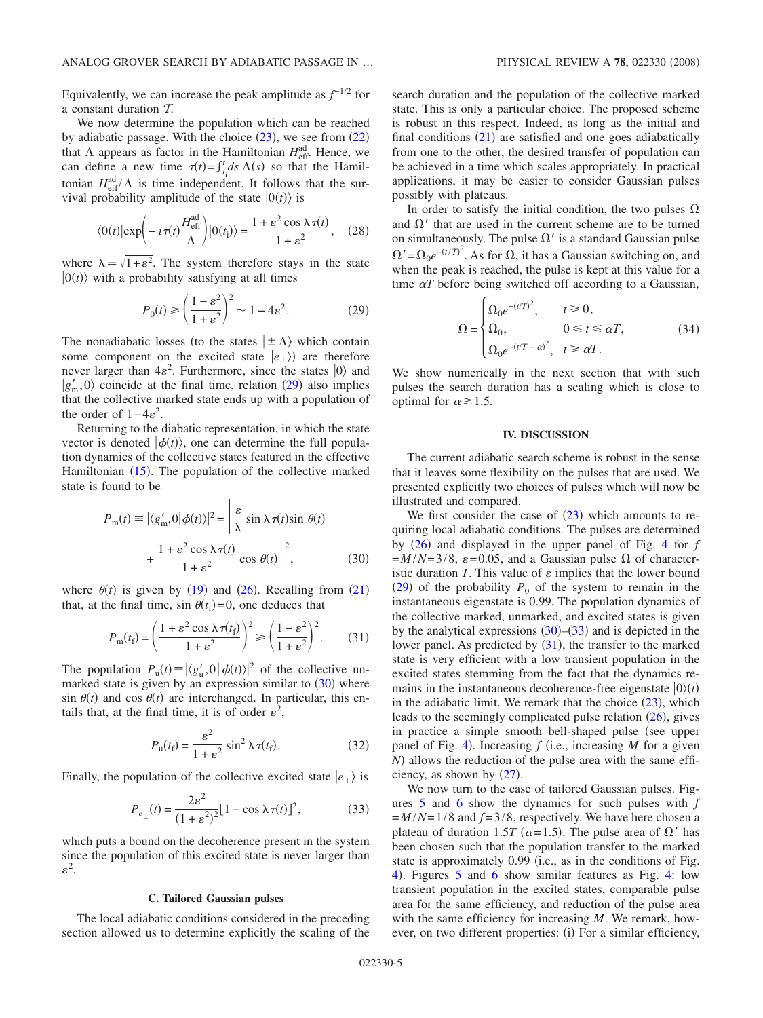Equivalently, we can increase the peak amplitude as  $f^{-1/2}$  for a constant duration T.

We now determine the population which can be reached by adiabatic passage. With the choice  $(23)$  $(23)$  $(23)$ , we see from  $(22)$  $(22)$  $(22)$ that  $\Lambda$  appears as factor in the Hamiltonian  $H_{\text{eff}}^{\text{ad}}$ . Hence, we can define a new time  $\tau(t) = \int_{t_i}^t ds \Lambda(s)$  so that the Hamiltonian  $H_{\text{eff}}^{\text{ad}}/\Lambda$  is time independent. It follows that the survival probability amplitude of the state  $|0(t)\rangle$  is

$$
\langle 0(t)|\exp\left(-i\,\tau(t)\frac{H_{\text{eff}}^{\text{ad}}}{\Lambda}\right)|0(t_i)\rangle = \frac{1+\varepsilon^2\cos\lambda\,\tau(t)}{1+\varepsilon^2},\quad(28)
$$

where  $\lambda = \sqrt{1+\epsilon^2}$ . The system therefore stays in the state  $|0(t)\rangle$  with a probability satisfying at all times

$$
P_0(t) \ge \left(\frac{1 - \varepsilon^2}{1 + \varepsilon^2}\right)^2 \sim 1 - 4\varepsilon^2. \tag{29}
$$

<span id="page-4-0"></span>The nonadiabatic losses (to the states  $|\pm \Lambda\rangle$  which contain some component on the excited state  $|e_{\perp}\rangle$  are therefore never larger than  $4\varepsilon^2$ . Furthermore, since the states  $|0\rangle$  and  $|g'_{m},0\rangle$  coincide at the final time, relation ([29](#page-4-0)) also implies that the collective marked state ends up with a population of the order of  $1-4\varepsilon^2$ .

Returning to the diabatic representation, in which the state vector is denoted  $|\phi(t)\rangle$ , one can determine the full population dynamics of the collective states featured in the effective Hamiltonian ([15](#page-2-1)). The population of the collective marked state is found to be

<span id="page-4-1"></span>
$$
P_{\text{m}}(t) \equiv |\langle g'_{\text{m}}, 0 | \phi(t) \rangle|^2 = \left| \frac{\varepsilon}{\lambda} \sin \lambda \tau(t) \sin \theta(t) \right|
$$

$$
+ \frac{1 + \varepsilon^2 \cos \lambda \tau(t)}{1 + \varepsilon^2} \cos \theta(t) \right|^2, \tag{30}
$$

where  $\theta(t)$  is given by ([19](#page-3-3)) and ([26](#page-3-6)). Recalling from ([21](#page-3-5)) that, at the final time,  $\sin \theta(t_f) = 0$ , one deduces that

$$
P_{\rm m}(t_{\rm f}) = \left(\frac{1 + \varepsilon^2 \cos \lambda \tau(t_{\rm f})}{1 + \varepsilon^2}\right)^2 \ge \left(\frac{1 - \varepsilon^2}{1 + \varepsilon^2}\right)^2. \tag{31}
$$

<span id="page-4-3"></span>The population  $P_u(t) \equiv |\langle g'_u, 0 | \phi(t) \rangle|^2$  of the collective unmarked state is given by an expression similar to  $(30)$  $(30)$  $(30)$  where  $\sin \theta(t)$  and cos  $\theta(t)$  are interchanged. In particular, this entails that, at the final time, it is of order  $\varepsilon^2$ ,

$$
P_{\mathbf{u}}(t_{\mathbf{f}}) = \frac{\varepsilon^2}{1 + \varepsilon^2} \sin^2 \lambda \,\tau(t_{\mathbf{f}}). \tag{32}
$$

Finally, the population of the collective excited state  $|e_{\perp}\rangle$  is

$$
P_{e_{\perp}}(t) = \frac{2\varepsilon^2}{(1 + \varepsilon^2)^2} [1 - \cos \lambda \tau(t)]^2, \tag{33}
$$

<span id="page-4-2"></span>which puts a bound on the decoherence present in the system since the population of this excited state is never larger than  $\varepsilon^2$ .

#### **C. Tailored Gaussian pulses**

The local adiabatic conditions considered in the preceding section allowed us to determine explicitly the scaling of the

search duration and the population of the collective marked state. This is only a particular choice. The proposed scheme is robust in this respect. Indeed, as long as the initial and final conditions  $(21)$  $(21)$  $(21)$  are satisfied and one goes adiabatically from one to the other, the desired transfer of population can be achieved in a time which scales appropriately. In practical applications, it may be easier to consider Gaussian pulses possibly with plateaus.

In order to satisfy the initial condition, the two pulses  $\Omega$ and  $\Omega'$  that are used in the current scheme are to be turned on simultaneously. The pulse  $\Omega'$  is a standard Gaussian pulse  $\Omega' = \Omega_0 e^{-(t/T)^2}$ . As for  $\Omega$ , it has a Gaussian switching on, and when the peak is reached, the pulse is kept at this value for a time  $\alpha T$  before being switched off according to a Gaussian,

$$
\Omega = \begin{cases}\n\Omega_0 e^{-(t/T)^2}, & t \ge 0, \\
\Omega_0, & 0 \le t \le \alpha T, \\
\Omega_0 e^{-(t/T - \alpha)^2}, & t \ge \alpha T.\n\end{cases}
$$
\n(34)

<span id="page-4-4"></span>We show numerically in the next section that with such pulses the search duration has a scaling which is close to optimal for  $\alpha \geq 1.5$ .

### **IV. DISCUSSION**

The current adiabatic search scheme is robust in the sense that it leaves some flexibility on the pulses that are used. We presented explicitly two choices of pulses which will now be illustrated and compared.

We first consider the case of  $(23)$  $(23)$  $(23)$  which amounts to requiring local adiabatic conditions. The pulses are determined by ([26](#page-3-6)) and displayed in the upper panel of Fig. [4](#page-5-0) for *f*  $=M/N=3/8$ ,  $\varepsilon$ =0.05, and a Gaussian pulse  $\Omega$  of characteristic duration *T*. This value of  $\varepsilon$  implies that the lower bound  $(29)$  $(29)$  $(29)$  of the probability  $P_0$  of the system to remain in the instantaneous eigenstate is 0.99. The population dynamics of the collective marked, unmarked, and excited states is given by the analytical expressions  $(30)$  $(30)$  $(30)$ – $(33)$  $(33)$  $(33)$  and is depicted in the lower panel. As predicted by  $(31)$  $(31)$  $(31)$ , the transfer to the marked state is very efficient with a low transient population in the excited states stemming from the fact that the dynamics remains in the instantaneous decoherence-free eigenstate  $|0\rangle(t)$ in the adiabatic limit. We remark that the choice  $(23)$  $(23)$  $(23)$ , which leads to the seemingly complicated pulse relation  $(26)$  $(26)$  $(26)$ , gives in practice a simple smooth bell-shaped pulse (see upper panel of Fig. [4](#page-5-0)). Increasing  $f$  (i.e., increasing  $M$  for a given *N*) allows the reduction of the pulse area with the same efficiency, as shown by  $(27)$  $(27)$  $(27)$ .

We now turn to the case of tailored Gaussian pulses. Figures [5](#page-5-1) and [6](#page-5-2) show the dynamics for such pulses with *f*  $=M/N=1/8$  and  $f=3/8$ , respectively. We have here chosen a plateau of duration 1.5*T* ( $\alpha$ =1.5). The pulse area of  $\Omega'$  has been chosen such that the population transfer to the marked state is approximately  $0.99$  (i.e., as in the conditions of Fig. [4](#page-5-0)). Figures [5](#page-5-1) and [6](#page-5-2) show similar features as Fig. [4:](#page-5-0) low transient population in the excited states, comparable pulse area for the same efficiency, and reduction of the pulse area with the same efficiency for increasing *M*. We remark, however, on two different properties: (i) For a similar efficiency,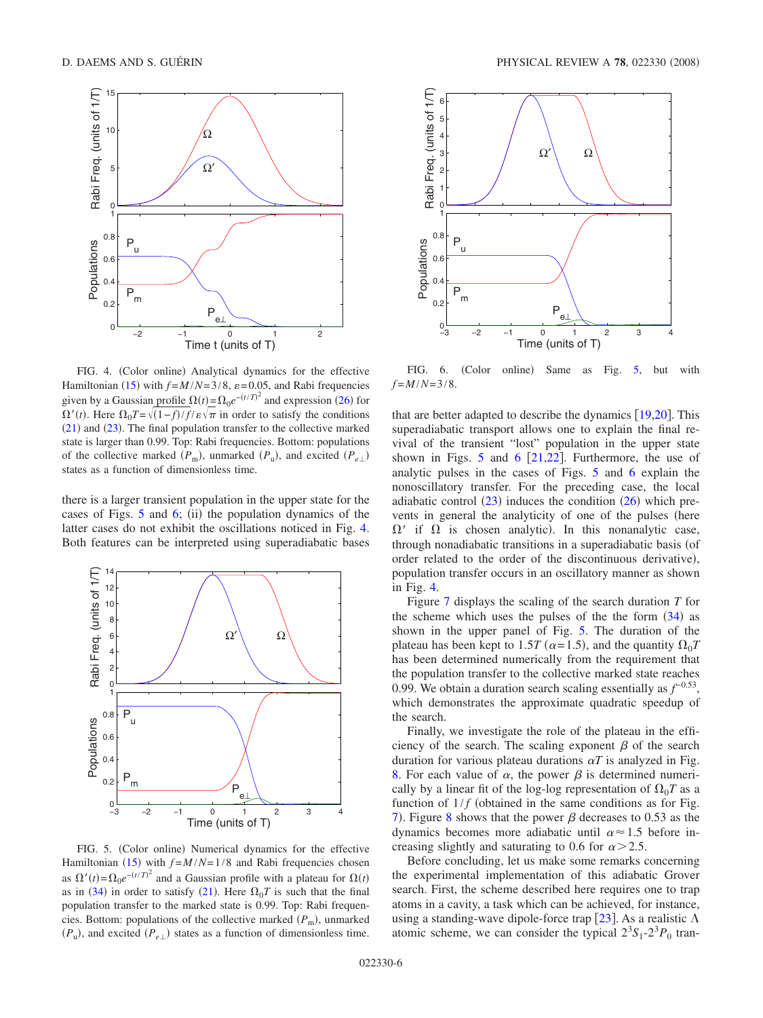<span id="page-5-0"></span>

FIG. 4. (Color online) Analytical dynamics for the effective Hamiltonian ([15](#page-2-1)) with  $f = M/N = 3/8$ ,  $\varepsilon = 0.05$ , and Rabi frequencies given by a Gaussian profile  $\Omega(t) = \Omega_0 e^{-(t/T)^2}$  and expression ([26](#page-3-6)) for  $\Omega'(t)$ . Here  $\Omega_0 T = \sqrt{(1-f)/f}/\varepsilon \sqrt{\pi}$  in order to satisfy the conditions  $(21)$  $(21)$  $(21)$  and  $(23)$  $(23)$  $(23)$ . The final population transfer to the collective marked state is larger than 0.99. Top: Rabi frequencies. Bottom: populations of the collective marked  $(P_m)$ , unmarked  $(P_u)$ , and excited  $(P_{e\perp})$ states as a function of dimensionless time.

there is a larger transient population in the upper state for the cases of Figs.  $5$  and  $6$ ; (ii) the population dynamics of the latter cases do not exhibit the oscillations noticed in Fig. [4.](#page-5-0) Both features can be interpreted using superadiabatic bases

<span id="page-5-1"></span>

FIG. 5. (Color online) Numerical dynamics for the effective Hamiltonian ([15](#page-2-1)) with  $f = M/N = 1/8$  and Rabi frequencies chosen as  $\Omega'(t) = \Omega_0 e^{-(t/T)^2}$  and a Gaussian profile with a plateau for  $\Omega(t)$ as in ([34](#page-4-4)) in order to satisfy ([21](#page-3-5)). Here  $\Omega_0 T$  is such that the final population transfer to the marked state is 0.99. Top: Rabi frequencies. Bottom: populations of the collective marked ( $P_{\text{m}}$ ), unmarked  $(P_u)$ , and excited  $(P_{e\perp})$  states as a function of dimensionless time.

<span id="page-5-2"></span>

FIG. 6. (Color online) Same as Fig. [5,](#page-5-1) but with  $f = M/N = 3/8$ .

that are better adapted to describe the dynamics  $[19,20]$  $[19,20]$  $[19,20]$  $[19,20]$ . This superadiabatic transport allows one to explain the final revival of the transient "lost" population in the upper state shown in Figs. [5](#page-5-1) and [6](#page-5-2)  $[21,22]$  $[21,22]$  $[21,22]$  $[21,22]$ . Furthermore, the use of analytic pulses in the cases of Figs. [5](#page-5-1) and [6](#page-5-2) explain the nonoscillatory transfer. For the preceding case, the local adiabatic control  $(23)$  $(23)$  $(23)$  induces the condition  $(26)$  $(26)$  $(26)$  which prevents in general the analyticity of one of the pulses (here  $\Omega'$  if  $\Omega$  is chosen analytic). In this nonanalytic case, through nonadiabatic transitions in a superadiabatic basis (of order related to the order of the discontinuous derivative), population transfer occurs in an oscillatory manner as shown in Fig. [4.](#page-5-0)

Figure [7](#page-6-0) displays the scaling of the search duration *T* for the scheme which uses the pulses of the the form  $(34)$  $(34)$  $(34)$  as shown in the upper panel of Fig. [5.](#page-5-1) The duration of the plateau has been kept to 1.5*T* ( $\alpha$ =1.5), and the quantity  $\Omega_0 T$ has been determined numerically from the requirement that the population transfer to the collective marked state reaches 0.99. We obtain a duration search scaling essentially as  $f^{-0.53}$ , which demonstrates the approximate quadratic speedup of the search.

Finally, we investigate the role of the plateau in the efficiency of the search. The scaling exponent  $\beta$  of the search duration for various plateau durations  $\alpha T$  is analyzed in Fig. [8.](#page-6-1) For each value of  $\alpha$ , the power  $\beta$  is determined numerically by a linear fit of the log-log representation of  $\Omega_0 T$  as a function of  $1/f$  (obtained in the same conditions as for Fig. [7](#page-6-0)). Figure [8](#page-6-1) shows that the power  $\beta$  decreases to 0.53 as the dynamics becomes more adiabatic until  $\alpha \approx 1.5$  before increasing slightly and saturating to 0.6 for  $\alpha$  > 2.5.

Before concluding, let us make some remarks concerning the experimental implementation of this adiabatic Grover search. First, the scheme described here requires one to trap atoms in a cavity, a task which can be achieved, for instance, using a standing-wave dipole-force trap [[23](#page-7-20)]. As a realistic  $\Lambda$ atomic scheme, we can consider the typical  $2^{3}S_{1} - 2^{3}P_{0}$  tran-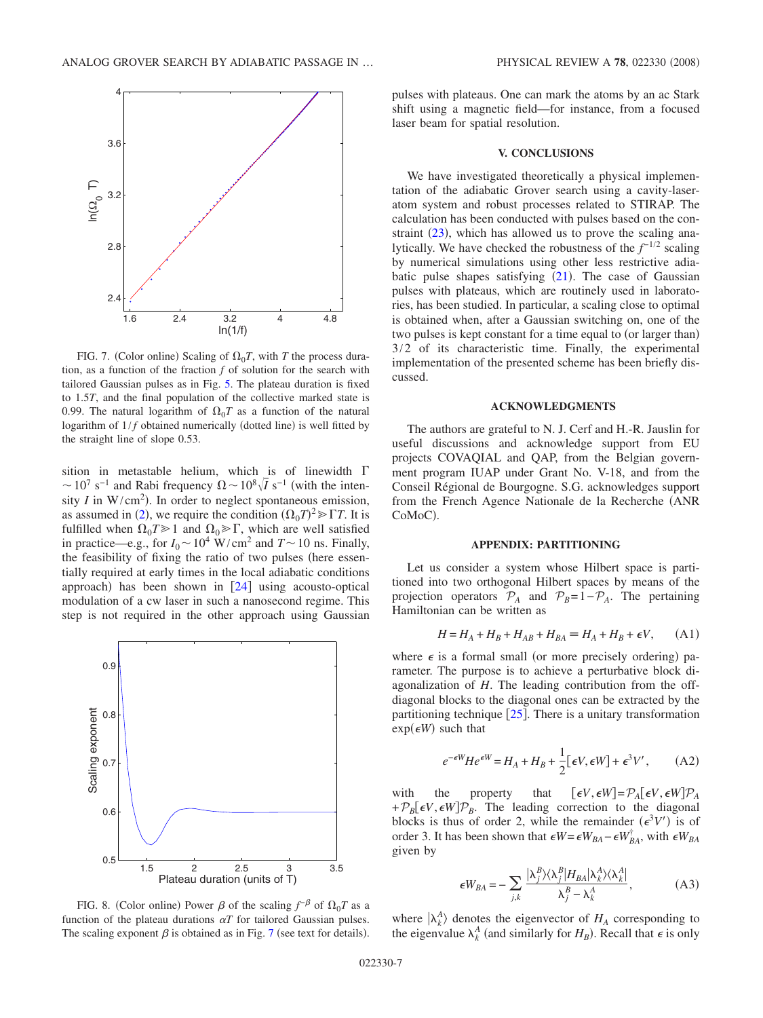<span id="page-6-0"></span>

FIG. 7. (Color online) Scaling of  $\Omega_0 T$ , with *T* the process duration, as a function of the fraction *f* of solution for the search with tailored Gaussian pulses as in Fig. [5.](#page-5-1) The plateau duration is fixed to 1.5*T*, and the final population of the collective marked state is 0.99. The natural logarithm of  $\Omega_0 T$  as a function of the natural logarithm of  $1/f$  obtained numerically (dotted line) is well fitted by the straight line of slope 0.53.

sition in metastable helium, which is of linewidth  $\Gamma$  $\sim 10^7$  s<sup>-1</sup> and Rabi frequency  $\Omega \sim 10^8 \sqrt{I}$  s<sup>-1</sup> (with the intensity *I* in  $W/cm<sup>2</sup>$ ). In order to neglect spontaneous emission, as assumed in ([2](#page-1-2)), we require the condition  $(\Omega_0 T)^2 \gg \Gamma T$ . It is fulfilled when  $\Omega_0 T \ge 1$  and  $\Omega_0 \ge \Gamma$ , which are well satisfied in practice—e.g., for  $I_0 \sim 10^4$  W/cm<sup>2</sup> and  $T \sim 10$  ns. Finally, the feasibility of fixing the ratio of two pulses (here essentially required at early times in the local adiabatic conditions approach) has been shown in  $[24]$  $[24]$  $[24]$  using acousto-optical modulation of a cw laser in such a nanosecond regime. This step is not required in the other approach using Gaussian

<span id="page-6-1"></span>

FIG. 8. (Color online) Power  $\beta$  of the scaling  $f^{-\beta}$  of  $\Omega_0 T$  as a function of the plateau durations  $\alpha T$  for tailored Gaussian pulses. The scaling exponent  $\beta$  is obtained as in Fig. [7](#page-6-0) (see text for details).

pulses with plateaus. One can mark the atoms by an ac Stark shift using a magnetic field—for instance, from a focused laser beam for spatial resolution.

### **V. CONCLUSIONS**

We have investigated theoretically a physical implementation of the adiabatic Grover search using a cavity-laseratom system and robust processes related to STIRAP. The calculation has been conducted with pulses based on the constraint  $(23)$  $(23)$  $(23)$ , which has allowed us to prove the scaling analytically. We have checked the robustness of the *f*<sup>−1/2</sup> scaling by numerical simulations using other less restrictive adiabatic pulse shapes satisfying  $(21)$  $(21)$  $(21)$ . The case of Gaussian pulses with plateaus, which are routinely used in laboratories, has been studied. In particular, a scaling close to optimal is obtained when, after a Gaussian switching on, one of the two pulses is kept constant for a time equal to (or larger than) 3/2 of its characteristic time. Finally, the experimental implementation of the presented scheme has been briefly discussed.

# **ACKNOWLEDGMENTS**

The authors are grateful to N. J. Cerf and H.-R. Jauslin for useful discussions and acknowledge support from EU projects COVAQIAL and QAP, from the Belgian government program IUAP under Grant No. V-18, and from the Conseil Régional de Bourgogne. S.G. acknowledges support from the French Agence Nationale de la Recherche (ANR CoMoC).

## **APPENDIX: PARTITIONING**

Let us consider a system whose Hilbert space is partitioned into two orthogonal Hilbert spaces by means of the projection operators  $P_A$  and  $P_B=1-P_A$ . The pertaining Hamiltonian can be written as

$$
H = H_A + H_B + H_{AB} + H_{BA} \equiv H_A + H_B + \epsilon V, \quad (A1)
$$

where  $\epsilon$  is a formal small (or more precisely ordering) parameter. The purpose is to achieve a perturbative block diagonalization of *H*. The leading contribution from the offdiagonal blocks to the diagonal ones can be extracted by the partitioning technique  $[25]$  $[25]$  $[25]$ . There is a unitary transformation  $exp(\epsilon W)$  such that

$$
e^{-\epsilon W} H e^{\epsilon W} = H_A + H_B + \frac{1}{2} [\epsilon V, \epsilon W] + \epsilon^3 V', \quad (A2)
$$

<span id="page-6-3"></span>with the property that  $\left[\epsilon V, \epsilon W\right] = \mathcal{P}_A[\epsilon V, \epsilon W]\mathcal{P}_A$  $+P_B[\epsilon V, \epsilon W]\mathcal{P}_B$ . The leading correction to the diagonal blocks is thus of order 2, while the remainder  $(\epsilon^3 V')$  is of order 3. It has been shown that  $\epsilon W = \epsilon W_{BA} - \epsilon W_{BA}^{\dagger}$ , with  $\epsilon W_{BA}$ given by

$$
\epsilon W_{BA} = -\sum_{j,k} \frac{|\lambda_j^B \rangle \langle \lambda_j^B | H_{BA} | \lambda_k^A \rangle \langle \lambda_k^A |}{\lambda_j^B - \lambda_k^A}, \tag{A3}
$$

<span id="page-6-2"></span>where  $|\lambda_k^A\rangle$  denotes the eigenvector of  $H_A$  corresponding to the eigenvalue  $\lambda_k^A$  (and similarly for  $H_B$ ). Recall that  $\epsilon$  is only